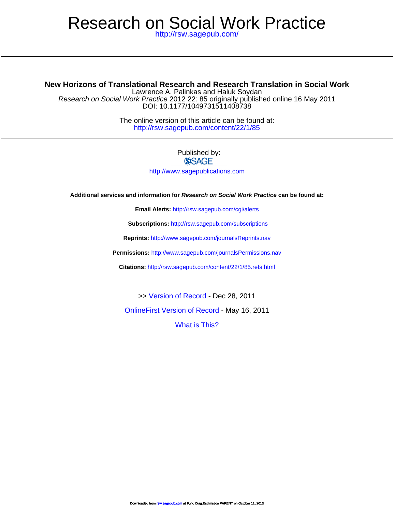# Research on Social Work Practice

<http://rsw.sagepub.com/>

DOI: 10.1177/1049731511408738 Research on Social Work Practice 2012 22: 85 originally published online 16 May 2011 Lawrence A. Palinkas and Haluk Soydan **New Horizons of Translational Research and Research Translation in Social Work**

> <http://rsw.sagepub.com/content/22/1/85> The online version of this article can be found at:

## Published by: **SSAGE** <http://www.sagepublications.com>

**Additional services and information for Research on Social Work Practice can be found at:**

**Email Alerts:** <http://rsw.sagepub.com/cgi/alerts>

**Subscriptions:** <http://rsw.sagepub.com/subscriptions>

**Reprints:** <http://www.sagepub.com/journalsReprints.nav>

**Permissions:** <http://www.sagepub.com/journalsPermissions.nav>

**Citations:** <http://rsw.sagepub.com/content/22/1/85.refs.html>

>> [Version of Record -](http://rsw.sagepub.com/content/22/1/85.full.pdf) Dec 28, 2011

[OnlineFirst Version of Record](http://rsw.sagepub.com/content/early/2011/05/11/1049731511408738.full.pdf) - May 16, 2011

[What is This?](http://online.sagepub.com/site/sphelp/vorhelp.xhtml)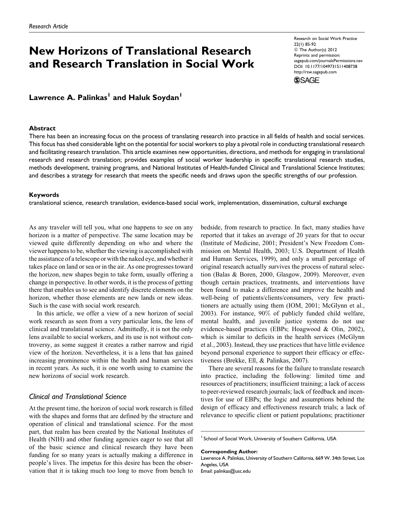# New Horizons of Translational Research and Research Translation in Social Work

sagepub.com/journalsPermissions.nav DOI: 10.1177/1049731511408738 http://rsw.sagepub.com**SSAGE** 

## Lawrence A. Palinkas<sup>1</sup> and Haluk Soydan<sup>1</sup>

#### **Abstract**

There has been an increasing focus on the process of translating research into practice in all fields of health and social services. This focus has shed considerable light on the potential for social workers to play a pivotal role in conducting translational research and facilitating research translation. This article examines new opportunities, directions, and methods for engaging in translational research and research translation; provides examples of social worker leadership in specific translational research studies, methods development, training programs, and National Institutes of Health-funded Clinical and Translational Science Institutes; and describes a strategy for research that meets the specific needs and draws upon the specific strengths of our profession.

#### Keywords

translational science, research translation, evidence-based social work, implementation, dissemination, cultural exchange

As any traveler will tell you, what one happens to see on any horizon is a matter of perspective. The same location may be viewed quite differently depending on who and where the viewer happens to be, whether the viewing is accomplished with the assistance of a telescope or with the naked eye, and whether it takes place on land or sea or in the air. As one progresses toward the horizon, new shapes begin to take form, usually offering a change in perspective. In other words, it is the process of getting there that enables us to see and identify discrete elements on the horizon, whether those elements are new lands or new ideas. Such is the case with social work research.

In this article, we offer a view of a new horizon of social work research as seen from a very particular lens, the lens of clinical and translational science. Admittedly, it is not the only lens available to social workers, and its use is not without controversy, as some suggest it creates a rather narrow and rigid view of the horizon. Nevertheless, it is a lens that has gained increasing prominence within the health and human services in recent years. As such, it is one worth using to examine the new horizons of social work research.

#### Clinical and Translational Science

At the present time, the horizon of social work research is filled with the shapes and forms that are defined by the structure and operation of clinical and translational science. For the most part, that realm has been created by the National Institutes of Health (NIH) and other funding agencies eager to see that all of the basic science and clinical research they have been funding for so many years is actually making a difference in people's lives. The impetus for this desire has been the observation that it is taking much too long to move from bench to bedside, from research to practice. In fact, many studies have reported that it takes an average of 20 years for that to occur (Institute of Medicine, 2001; President's New Freedom Commission on Mental Health, 2003; U.S. Department of Health and Human Services, 1999), and only a small percentage of original research actually survives the process of natural selection (Balas & Boren, 2000, Glasgow, 2009). Moreover, even though certain practices, treatments, and interventions have been found to make a difference and improve the health and well-being of patients/clients/consumers, very few practitioners are actually using them (IOM, 2001; McGlynn et al., 2003). For instance, 90% of publicly funded child welfare, mental health, and juvenile justice systems do not use evidence-based practices (EBPs; Hoagwood & Olin, 2002), which is similar to deficits in the health services (McGlynn et al., 2003). Instead, they use practices that have little evidence beyond personal experience to support their efficacy or effectiveness (Brekke, Ell, & Palinkas, 2007).

There are several reasons for the failure to translate research into practice, including the following: limited time and resources of practitioners; insufficient training; a lack of access to peer-reviewed research journals; lack of feedback and incentives for use of EBPs; the logic and assumptions behind the design of efficacy and effectiveness research trials; a lack of relevance to specific client or patient populations; practitioner

#### Corresponding Author:

Lawrence A. Palinkas, University of Southern California, 669 W. 34th Street, Los Angeles, USA Email: palinkas@usc.edu

Research on Social Work Practice 22(1) 85-92 © The Author(s) 2012

Reprints and permission:

<sup>&</sup>lt;sup>1</sup> School of Social Work, University of Southern California, USA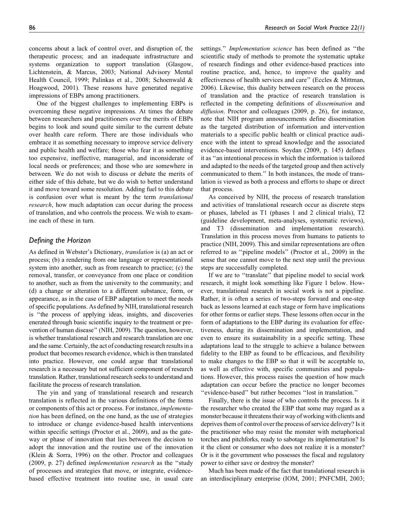concerns about a lack of control over, and disruption of, the therapeutic process; and an inadequate infrastructure and systems organization to support translation (Glasgow, Lichtenstein, & Marcus, 2003; National Advisory Mental Health Council, 1999; Palinkas et al., 2008; Schoenwald & Hoagwood, 2001). These reasons have generated negative impressions of EBPs among practitioners.

One of the biggest challenges to implementing EBPs is overcoming these negative impressions. At times the debate between researchers and practitioners over the merits of EBPs begins to look and sound quite similar to the current debate over health care reform. There are those individuals who embrace it as something necessary to improve service delivery and public health and welfare; those who fear it as something too expensive, ineffective, managerial, and inconsiderate of local needs or preferences; and those who are somewhere in between. We do not wish to discuss or debate the merits of either side of this debate, but we do wish to better understand it and move toward some resolution. Adding fuel to this debate is confusion over what is meant by the term translational research, how much adaptation can occur during the process of translation, and who controls the process. We wish to examine each of these in turn.

#### Defining the Horizon

As defined in Webster's Dictionary, translation is (a) an act or process; (b) a rendering from one language or representational system into another, such as from research to practice; (c) the removal, transfer, or conveyance from one place or condition to another, such as from the university to the community; and (d) a change or alteration to a different substance, form, or appearance, as in the case of EBP adaptation to meet the needs of specific populations. As defined by NIH, translational research is ''the process of applying ideas, insights, and discoveries enerated through basic scientific inquiry to the treatment or prevention of human disease'' (NIH, 2009). The question, however, is whether translational research and research translation are one and the same. Certainly, the act of conducting research results in a product that becomes research evidence, which is then translated into practice. However, one could argue that translational research is a necessary but not sufficient component of research translation. Rather, translational research seeks to understand and facilitate the process of research translation.

The yin and yang of translational research and research translation is reflected in the various definitions of the forms or components of this act or process. For instance, implementation has been defined, on the one hand, as the use of strategies to introduce or change evidence-based health interventions within specific settings (Proctor et al., 2009), and as the gateway or phase of innovation that lies between the decision to adopt the innovation and the routine use of the innovation (Klein & Sorra, 1996) on the other. Proctor and colleagues (2009, p. 27) defined implementation research as the ''study of processes and strategies that move, or integrate, evidencebased effective treatment into routine use, in usual care settings." Implementation science has been defined as "the scientific study of methods to promote the systematic uptake of research findings and other evidence-based practices into routine practice, and, hence, to improve the quality and effectiveness of health services and care'' (Eccles & Mittman, 2006). Likewise, this duality between research on the process of translation and the practice of research translation is reflected in the competing definitions of dissemination and diffusion. Proctor and colleagues (2009, p. 26), for instance, note that NIH program announcements define dissemination as the targeted distribution of information and intervention materials to a specific public health or clinical practice audience with the intent to spread knowledge and the associated evidence-based interventions. Soydan (2009, p. 145) defines it as ''an intentional process in which the information is tailored and adapted to the needs of the targeted group and then actively communicated to them.'' In both instances, the mode of translation is viewed as both a process and efforts to shape or direct that process.

As conceived by NIH, the process of research translation and activities of translational research occur as discrete steps or phases, labeled as T1 (phases 1 and 2 clinical trials), T2 (guideline development, meta-analyses, systematic reviews), and T3 (dissemination and implementation research). Translation in this process moves from humans to patients to practice (NIH, 2009). This and similar representations are often referred to as ''pipeline models'' (Proctor et al., 2009) in the sense that one cannot move to the next step until the previous steps are successfully completed.

If we are to ''translate'' that pipeline model to social work research, it might look something like Figure 1 below. However, translational research in social work is not a pipeline. Rather, it is often a series of two-steps forward and one-step back as lessons learned at each stage or form have implications for other forms or earlier steps. These lessons often occur in the form of adaptations to the EBP during its evaluation for effectiveness, during its dissemination and implementation, and even to ensure its sustainability in a specific setting. These adaptations lead to the struggle to achieve a balance between fidelity to the EBP as found to be efficacious, and flexibility to make changes to the EBP so that it will be acceptable to, as well as effective with, specific communities and populations. However, this process raises the question of how much adaptation can occur before the practice no longer becomes ''evidence-based'' but rather becomes ''lost in translation.''

Finally, there is the issue of who controls the process. Is it the researcher who created the EBP that some may regard as a monster because it threatens their way of working with clients and deprives them of control over the process of service delivery? Is it the practitioner who may resist the monster with metaphorical torches and pitchforks, ready to sabotage its implementation? Is it the client or consumer who does not realize it is a monster? Or is it the government who possesses the fiscal and regulatory power to either save or destroy the monster?

Much has been made of the fact that translational research is an interdisciplinary enterprise (IOM, 2001; PNFCMH, 2003;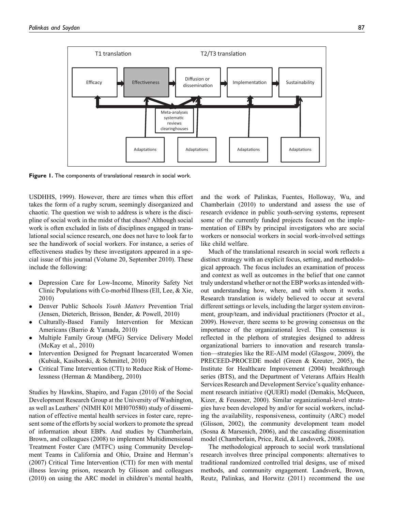

Figure 1. The components of translational research in social work.

USDHHS, 1999). However, there are times when this effort takes the form of a rugby scrum, seemingly disorganized and chaotic. The question we wish to address is where is the discipline of social work in the midst of that chaos? Although social work is often excluded in lists of disciplines engaged in translational social science research, one does not have to look far to see the handiwork of social workers. For instance, a series of effectiveness studies by these investigators appeared in a special issue of this journal (Volume 20, September 2010). These include the following:

- $\bullet$  Depression Care for Low-Income, Minority Safety Net Clinic Populations with Co-morbid Illness (Ell, Lee, & Xie, 2010)
- $\bullet$  Denver Public Schools Youth Matters Prevention Trial (Jensen, Dieterich, Brisson, Bender, & Powell, 2010)
- $\bullet$  Culturally-Based Family Intervention for Mexican Americans (Barrio & Yamada, 2010)
- $\bullet$  Multiple Family Group (MFG) Service Delivery Model (McKay et al., 2010)
- $\bullet$  Intervention Designed for Pregnant Incarcerated Women (Kubiak, Kasiborski, & Schmittel, 2010)
- $\bullet$  Critical Time Intervention (CTI) to Reduce Risk of Homelessness (Herman & Mandiberg, 2010)

Studies by Hawkins, Shapiro, and Fagan (2010) of the Social Development Research Group at the University of Washington, as well as Leathers' (NIMH K01 MH070580) study of dissemination of effective mental health services in foster care, represent some of the efforts by social workers to promote the spread of information about EBPs. And studies by Chamberlain, Brown, and colleagues (2008) to implement Multidimensional Treatment Foster Care (MTFC) using Community Development Teams in California and Ohio, Draine and Herman's (2007) Critical Time Intervention (CTI) for men with mental illness leaving prison, research by Glisson and colleagues (2010) on using the ARC model in children's mental health,

and the work of Palinkas, Fuentes, Holloway, Wu, and Chamberlain (2010) to understand and assess the use of research evidence in public youth-serving systems, represent some of the currently funded projects focused on the implementation of EBPs by principal investigators who are social workers or nonsocial workers in social work-involved settings like child welfare.

Much of the translational research in social work reflects a distinct strategy with an explicit focus, setting, and methodological approach. The focus includes an examination of process and context as well as outcomes in the belief that one cannot truly understand whether or not the EBP works as intended without understanding how, where, and with whom it works. Research translation is widely believed to occur at several different settings or levels, including the larger system environment, group/team, and individual practitioners (Proctor et al., 2009). However, there seems to be growing consensus on the importance of the organizational level. This consensus is reflected in the plethora of strategies designed to address organizational barriers to innovation and research translation—strategies like the RE-AIM model (Glasgow, 2009), the PRECEED-PROCEDE model (Green & Kreuter, 2005), the Institute for Healthcare Improvement (2004) breakthrough series (BTS), and the Department of Veterans Affairs Health Services Research and Development Service's quality enhancement research initiative (QUERI) model (Demakis, McQueen, Kizer, & Feussner, 2000). Similar organizational-level strategies have been developed by and/or for social workers, including the availability, responsiveness, continuity (ARC) model (Glisson, 2002), the community development team model (Sosna & Marsenich, 2006), and the cascading dissemination model (Chamberlain, Price, Reid, & Landsverk, 2008).

The methodological approach to social work translational research involves three principal components: alternatives to traditional randomized controlled trial designs, use of mixed methods, and community engagement. Landsverk, Brown, Reutz, Palinkas, and Horwitz (2011) recommend the use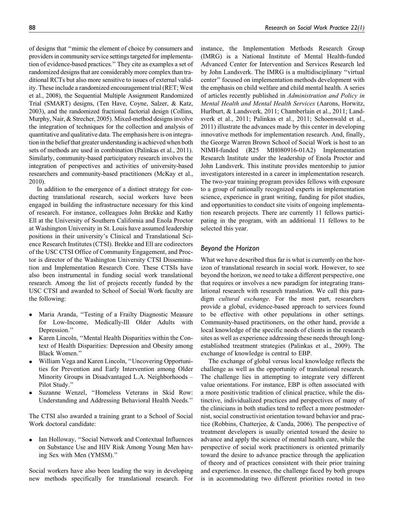of designs that ''mimic the element of choice by consumers and providers in community service settings targeted for implementation of evidence-based practices.'' They cite as examples a set of randomized designs that are considerably more complex than traditional RCTs but also more sensitive to issues of external validity. These include a randomized encouragement trial (RET; West et al., 2008), the Sequential Multiple Assignment Randomized Trial (SMART) designs, (Ten Have, Coyne, Salzer, & Katz, 2003), and the randomized fractional factorial design (Collins, Murphy, Nair, & Strecher, 2005). Mixed-method designs involve the integration of techniques for the collection and analysis of quantitative and qualitative data. The emphasis here is on integration in the belief that greater understanding is achieved when both sets of methods are used in combination (Palinkas et al., 2011). Similarly, community-based participatory research involves the integration of perspectives and activities of university-based researchers and community-based practitioners (McKay et al., 2010).

In addition to the emergence of a distinct strategy for conducting translational research, social workers have been engaged in building the infrastructure necessary for this kind of research. For instance, colleagues John Brekke and Kathy Ell at the University of Southern California and Enola Proctor at Washington University in St. Louis have assumed leadership positions in their university's Clinical and Translational Science Research Institutes (CTSI). Brekke and Ell are codirectors of the USC CTSI Office of Community Engagement, and Proctor is director of the Washington University CTSI Dissemination and Implementation Research Core. These CTSIs have also been instrumental in funding social work translational research. Among the list of projects recently funded by the USC CTSI and awarded to School of Social Work faculty are the following:

- $\bullet$  Maria Aranda, ''Testing of a Frailty Diagnostic Measure for Low-Income, Medically-Ill Older Adults with Depression.''
- $\bullet$  Karen Lincoln, ''Mental Health Disparities within the Context of Health Disparities: Depression and Obesity among Black Women.''
- $\bullet$  William Vega and Karen Lincoln, ''Uncovering Opportunities for Prevention and Early Intervention among Older Minority Groups in Disadvantaged L.A. Neighborhoods – Pilot Study.''
- $\bullet$  Suzanne Wenzel, ''Homeless Veterans in Skid Row: Understanding and Addressing Behavioral Health Needs.''

The CTSI also awarded a training grant to a School of Social Work doctoral candidate:

 $\bullet$  Ian Holloway, ''Social Network and Contextual Influences on Substance Use and HIV Risk Among Young Men having Sex with Men (YMSM).''

Social workers have also been leading the way in developing new methods specifically for translational research. For instance, the Implementation Methods Research Group (IMRG) is a National Institute of Mental Health-funded Advanced Center for Intervention and Services Research led by John Landsverk. The IMRG is a multidisciplinary ''virtual center'' focused on implementation methods development with the emphasis on child welfare and child mental health. A series of articles recently published in Administration and Policy in Mental Health and Mental Health Services (Aarons, Horwitz, Hurlburt, & Landsverk, 2011; Chamberlain et al., 2011; Landsverk et al., 2011; Palinkas et al., 2011; Schoenwald et al., 2011) illustrate the advances made by this center in developing innovative methods for implementation research. And, finally, the George Warren Brown School of Social Work is host to an NIMH-funded (R25 MH080916-01A2) Implementation Research Institute under the leadership of Enola Proctor and John Landsverk. This institute provides mentorship to junior investigators interested in a career in implementation research. The two-year training program provides fellows with exposure to a group of nationally recognized experts in implementation science, experience in grant writing, funding for pilot studies, and opportunities to conduct site visits of ongoing implementation research projects. There are currently 11 fellows participating in the program, with an additional 11 fellows to be selected this year.

#### Beyond the Horizon

What we have described thus far is what is currently on the horizon of translational research in social work. However, to see beyond the horizon, we need to take a different perspective, one that requires or involves a new paradigm for integrating translational research with research translation. We call this paradigm *cultural exchange*. For the most part, researchers provide a global, evidence-based approach to services found to be effective with other populations in other settings. Community-based practitioners, on the other hand, provide a local knowledge of the specific needs of clients in the research sites as well as experience addressing these needs through longestablished treatment strategies (Palinkas et al., 2009). The exchange of knowledge is central to EBP.

The exchange of global versus local knowledge reflects the challenge as well as the opportunity of translational research. The challenge lies in attempting to integrate very different value orientations. For instance, EBP is often associated with a more positivistic tradition of clinical practice, while the distinctive, individualized practices and perspectives of many of the clinicians in both studies tend to reflect a more postmodernist, social constructivist orientation toward behavior and practice (Robbins, Chatterjee, & Canda, 2006). The perspective of treatment developers is usually oriented toward the desire to advance and apply the science of mental health care, while the perspective of social work practitioners is oriented primarily toward the desire to advance practice through the application of theory and of practices consistent with their prior training and experience. In essence, the challenge faced by both groups is in accommodating two different priorities rooted in two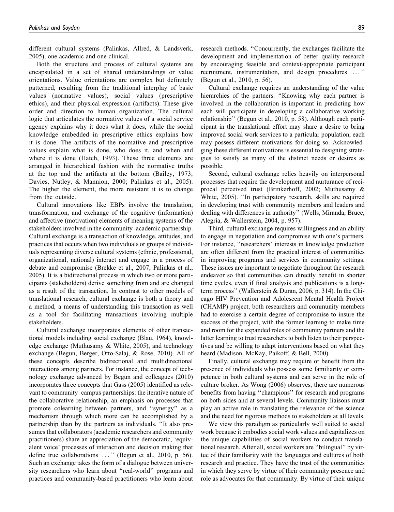different cultural systems (Palinkas, Allred, & Landsverk, 2005), one academic and one clinical.

Both the structure and process of cultural systems are encapsulated in a set of shared understandings or value orientations. Value orientations are complex but definitely patterned, resulting from the traditional interplay of basic values (normative values), social values (prescriptive ethics), and their physical expression (artifacts). These give order and direction to human organization. The cultural logic that articulates the normative values of a social service agency explains why it does what it does, while the social knowledge embedded in prescriptive ethics explains how it is done. The artifacts of the normative and prescriptive values explain what is done, who does it, and when and where it is done (Hatch, 1993). These three elements are arranged in hierarchical fashion with the normative truths at the top and the artifacts at the bottom (Bailey, 1973; Davies, Nutley, & Mannion, 2000; Palinkas et al., 2005). The higher the element, the more resistant it is to change from the outside.

Cultural innovations like EBPs involve the translation, transformation, and exchange of the cognitive (information) and affective (motivation) elements of meaning systems of the stakeholders involved in the community–academic partnership. Cultural exchange is a transaction of knowledge, attitudes, and practices that occurs when two individuals or groups of individuals representing diverse cultural systems (ethnic, professional, organizational, national) interact and engage in a process of debate and compromise (Brekke et al., 2007; Palinkas et al., 2005). It is a bidirectional process in which two or more participants (stakeholders) derive something from and are changed as a result of the transaction. In contrast to other models of translational research, cultural exchange is both a theory and a method, a means of understanding this transaction as well as a tool for facilitating transactions involving multiple stakeholders.

Cultural exchange incorporates elements of other transactional models including social exchange (Blau, 1964), knowledge exchange (Muthusamy & White, 2005), and technology exchange (Begun, Berger, Otto-Salaj, & Rose, 2010). All of these concepts describe bidirectional and multidirectional interactions among partners. For instance, the concept of technology exchange advanced by Begun and colleagues (2010) incorporates three concepts that Gass (2005) identified as relevant to community–campus partnerships: the iterative nature of the collaborative relationship, an emphasis on processes that promote colearning between partners, and ''synergy'' as a mechanism through which more can be accomplished by a partnership than by the partners as individuals. ''It also presumes that collaborators (academic researchers and community practitioners) share an appreciation of the democratic, 'equivalent voice' processes of interaction and decision making that define true collaborations ..." (Begun et al., 2010, p. 56). Such an exchange takes the form of a dialogue between university researchers who learn about "real-world" programs and practices and community-based practitioners who learn about

research methods. ''Concurrently, the exchanges facilitate the development and implementation of better quality research by encouraging feasible and context-appropriate participant recruitment, instrumentation, and design procedures ...'' (Begun et al., 2010, p. 56).

Cultural exchange requires an understanding of the value hierarchies of the partners. "Knowing why each partner is involved in the collaboration is important in predicting how each will participate in developing a collaborative working relationship'' (Begun et al., 2010, p. 58). Although each participant in the translational effort may share a desire to bring improved social work services to a particular population, each may possess different motivations for doing so. Acknowledging these different motivations is essential to designing strategies to satisfy as many of the distinct needs or desires as possible.

Second, cultural exchange relies heavily on interpersonal processes that require the development and nurturance of reciprocal perceived trust (Brinkerhoff, 2002; Muthusamy & White, 2005). ''In participatory research, skills are required in developing trust with community members and leaders and dealing with differences in authority'' (Wells, Miranda, Bruce, Alegria, & Wallerstein, 2004, p. 957).

Third, cultural exchange requires willingness and an ability to engage in negotiation and compromise with one's partners. For instance, ''researchers' interests in knowledge production are often different from the practical interest of communities in improving programs and services in community settings. These issues are important to negotiate throughout the research endeavor so that communities can directly benefit in shorter time cycles, even if final analysis and publications is a longterm process'' (Wallerstein & Duran, 2006, p. 314). In the Chicago HIV Prevention and Adolescent Mental Health Project (CHAMP) project, both researchers and community members had to exercise a certain degree of compromise to insure the success of the project, with the former learning to make time and room for the expanded roles of community partners and the latter learning to trust researchers to both listen to their perspectives and be willing to adapt interventions based on what they heard (Madison, McKay, Paikoff, & Bell, 2000).

Finally, cultural exchange may require or benefit from the presence of individuals who possess some familiarity or competence in both cultural systems and can serve in the role of culture broker. As Wong (2006) observes, there are numerous benefits from having ''champions'' for research and programs on both sides and at several levels. Community liaisons must play an active role in translating the relevance of the science and the need for rigorous methods to stakeholders at all levels.

We view this paradigm as particularly well suited to social work because it embodies social work values and capitalizes on the unique capabilities of social workers to conduct translational research. After all, social workers are ''bilingual'' by virtue of their familiarity with the languages and cultures of both research and practice. They have the trust of the communities in which they serve by virtue of their community presence and role as advocates for that community. By virtue of their unique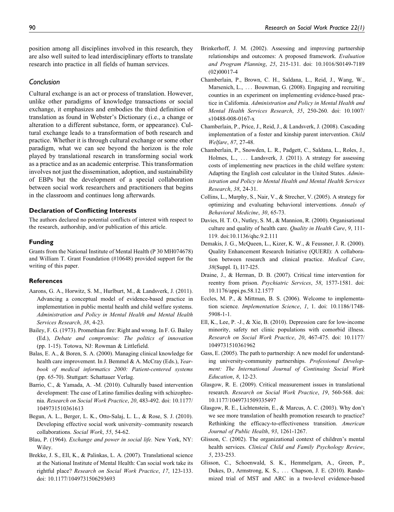position among all disciplines involved in this research, they are also well suited to lead interdisciplinary efforts to translate research into practice in all fields of human services.

#### Conclusion

Cultural exchange is an act or process of translation. However, unlike other paradigms of knowledge transactions or social exchange, it emphasizes and embodies the third definition of translation as found in Webster's Dictionary (i.e., a change or alteration to a different substance, form, or appearance). Cultural exchange leads to a transformation of both research and practice. Whether it is through cultural exchange or some other paradigm, what we can see beyond the horizon is the role played by translational research in transforming social work as a practice and as an academic enterprise. This transformation involves not just the dissemination, adoption, and sustainability of EBPs but the development of a special collaboration between social work researchers and practitioners that begins in the classroom and continues long afterwards.

#### Declaration of Conflicting Interests

The authors declared no potential conflicts of interest with respect to the research, authorship, and/or publication of this article.

#### Funding

Grants from the National Institute of Mental Health (P 30 MH074678) and William T. Grant Foundation (#10648) provided support for the writing of this paper.

#### References

- Aarons, G. A., Horwitz, S. M., Hurlburt, M., & Landsverk, J. (2011). Advancing a conceptual model of evidence-based practice in implementation in public mental health and child welfare systems. Administration and Policy in Mental Health and Mental Health Services Research, 38, 4-23.
- Bailey, F. G. (1973). Promethian fire: Right and wrong. In F. G. Bailey (Ed.), Debate and compromise: The politics of innovation (pp. 1-15). Totowa, NJ: Rowman & Littlefield.
- Balas, E. A., & Boren, S. A. (2000). Managing clinical knowledge for health care improvement. In J. Bemmel & A. McCray (Eds.), Yearbook of medical informatics 2000: Patient-centered systems (pp. 65-70). Stuttgart: Schattauer Verlag.
- Barrio, C., & Yamada, A. -M. (2010). Culturally based intervention development: The case of Latino families dealing with schizophrenia. Research on Social Work Practice, 20, 483-492. doi: 10.1177/ 1049731510361613
- Begun, A. L., Berger, L. K., Otto-Salaj, L. L., & Rose, S. J. (2010). Developing effective social work university–community research collaborations. Social Work, 55, 54-62.
- Blau, P. (1964). Exchange and power in social life. New York, NY: Wiley.
- Brekke, J. S., Ell, K., & Palinkas, L. A. (2007). Translational science at the National Institute of Mental Health: Can social work take its rightful place? Research on Social Work Practice, 17, 123-133. doi: 10.1177/1049731506293693
- Brinkerhoff, J. M. (2002). Assessing and improving partnership relationships and outcomes: A proposed framework. Evaluation and Program Planning, 25, 215-131. doi: 10.1016/S0149-7189 (02)00017-4
- Chamberlain, P., Brown, C. H., Saldana, L., Reid, J., Wang, W., Marsenich, L., ... Bouwman, G. (2008). Engaging and recruiting counties in an experiment on implementing evidence-based practice in California. Administration and Policy in Mental Health and Mental Health Services Research, 35, 250-260. doi: 10.1007/ s10488-008-0167-x
- Chamberlain, P., Price, J., Reid, J., & Landsverk, J. (2008). Cascading implementation of a foster and kinship parent intervention. Child Welfare, 87, 27-48.
- Chamberlain, P., Snowden, L. R., Padgett, C., Saldana, L., Roles, J., Holmes, L., ... Landsverk, J. (2011). A strategy for assessing costs of implementing new practices in the child welfare system: Adapting the English cost calculator in the United States. Administration and Policy in Mental Health and Mental Health Services Research, 38, 24-31.
- Collins, L., Murphy, S., Nair, V., & Strecher, V. (2005). A strategy for optimizing and evaluating behavioral interventions. Annals of Behavioral Medicine, 30, 65-73.
- Davies, H. T. O., Nutley, S. M., & Mannion, R. (2000). Organisational culture and quality of health care. Quality in Health Care, 9, 111-119. doi:10.1136/qhc.9.2.111
- Demakis, J. G., McQueen, L., Kizer, K. W., & Feussner, J. R. (2000). Quality Enhancement Research Initiative (QUERI): A collaboration between research and clinical practice. Medical Care, 38(Suppl. I), I17-I25.
- Draine, J., & Herman, D. B. (2007). Critical time intervention for reentry from prison. Psychiatric Services, 58, 1577-1581. doi: 10.1176/appi.ps.58.12.1577
- Eccles, M. P., & Mittman, B. S. (2006). Welcome to implementation science. Implementation Science, 1, 1. doi: 10.1186/1748- 5908-1-1.
- Ell, K., Lee, P. -J., & Xie, B. (2010). Depression care for low-income minority, safety net clinic populations with comorbid illness. Research on Social Work Practice, 20, 467-475. doi: 10.1177/ 1049731510361962
- Gass, E. (2005). The path to partnership: A new model for understanding university-community partnerships. Professional Development: The International Journal of Continuing Social Work Education, 8, 12-23.
- Glasgow, R. E. (2009). Critical measurement issues in translational research. Research on Social Work Practice, 19, 560-568. doi: 10.1177/1049731509335497
- Glasgow, R. E., Lichtenstein, E., & Marcus, A. C. (2003). Why don't we see more translation of health promotion research to practice? Rethinking the efficacy-to-effectiveness transition. American Journal of Public Health, 93, 1261-1267.
- Glisson, C. (2002). The organizational context of children's mental health services. Clinical Child and Family Psychology Review, 5, 233-253.
- Glisson, C., Schoenwald, S. K., Hemmelgarn, A., Green, P., Dukes, D., Armstrong, K. S., ... Chapson, J. E. (2010). Randomized trial of MST and ARC in a two-level evidence-based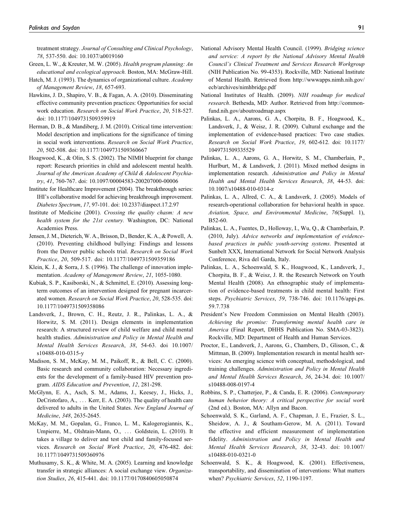treatment strategy. Journal of Consulting and Clinical Psychology, 78, 537-550. doi: 10.1037/a0019160

- Green, L. W., & Kreuter, M. W. (2005). Health program planning: An educational and ecological approach. Boston, MA: McGraw-Hill.
- Hatch, M. J. (1993). The dynamics of organizational culture. *Academy* of Management Review, 18, 657-693.
- Hawkins, J. D., Shapiro, V. B., & Fagan, A. A. (2010). Disseminating effective community prevention practices: Opportunities for social work education. Research on Social Work Practice, 20, 518-527. doi: 10.1177/1049731509359919
- Herman, D. B., & Mandiberg, J. M. (2010). Critical time intervention: Model description and implications for the significance of timing in social work interventions. Research on Social Work Practice, 20, 502-508. doi: 10.1177/1049731509360667
- Hoagwood, K., & Olin, S. S. (2002). The NIMH blueprint for change report: Research priorities in child and adolescent mental health. Journal of the American Academy of Child & Adolescent Psychiatry, 41, 760-767. doi: 10.1097/00004583-200207000-00006
- Institute for Healthcare Improvement (2004). The breakthrough series: IHI's collaborative model for achieving breakthrough improvement. Diabetes Spectrum, 17, 97-101. doi: 10.2337/diaspect.17.2.97
- Institute of Medicine (2001). Crossing the quality chasm: A new health system for the 21st century. Washington, DC: National Academies Press.
- Jensen, J. M., Dieterich, W. A., Brisson, D., Bender, K. A., & Powell, A. (2010). Preventing childhood bullying: Findings and lessons from the Denver public schools trial. Research on Social Work Practice, 20, 509-517. doi: 10.1177/1049731509359186
- Klein, K. J., & Sorra, J. S. (1996). The challenge of innovation implementation. Academy of Management Review, 21, 1055-1080.
- Kubiak, S. P., Kasiborski, N., & Schmittel, E. (2010). Assessing longterm outcomes of an intervention designed for pregnant incarcerated women. Research on Social Work Practice, 20, 528-535. doi: 10.1177/1049731509358086
- Landsverk, J., Brown, C. H., Reutz, J. R., Palinkas, L. A., & Horwitz, S. M. (2011). Design elements in implementation research: A structured review of child welfare and child mental health studies. Administration and Policy in Mental Health and Mental Health Services Research, 38, 54-63. doi 10.1007/ s10488-010-0315-y
- Madison, S. M., McKay, M. M., Paikoff, R., & Bell, C. C. (2000). Basic research and community collaboration: Necessary ingredients for the development of a family-based HIV prevention program. AIDS Education and Prevention, 12, 281-298.
- McGlynn, E. A., Asch, S. M., Adams, J., Keesey, J., Hicks, J., DeCristofaro, A., ... Kerr, E. A. (2003). The quality of health care delivered to adults in the United States. New England Journal of Medicine, 348, 2635-2645.
- McKay, M. M., Gopalan, G., Franco, L. M., Kalogerogiannis, K., Umpierre, M., Olshtain-Mann, O., ... Goldstein, L. (2010). It takes a village to deliver and test child and family-focused services. Research on Social Work Practice, 20, 476-482. doi: 10.1177/1049731509360976
- Muthusamy, S. K., & White, M. A. (2005). Learning and knowledge transfer in strategic alliances: A social exchange view. Organization Studies, 26, 415-441. doi: 10.1177/0170840605050874
- National Advisory Mental Health Council. (1999). Bridging science and service: A report by the National Advisory Mental Health Council's Clinical Treatment and Services Research Workgroup (NIH Publication No. 99-4353). Rockville, MD: National Institute of Mental Health. Retrieved from http://wwwapps.nimh.nih.gov/ ecb/archives/nimhbridge.pdf
- National Institutes of Health. (2009). NIH roadmap for medical research. Bethesda, MD: Author. Retrieved from http://commonfund.nih.gov/aboutroadmap.aspx
- Palinkas, L. A., Aarons, G. A., Chorpita, B. F., Hoagwood, K., Landsverk, J., & Weisz, J. R. (2009). Cultural exchange and the implementation of evidence-based practices: Two case studies. Research on Social Work Practice, 19, 602-612. doi: 10.1177/ 1049731509335529
- Palinkas, L. A., Aarons, G. A., Horwitz, S. M., Chamberlain, P., Hurlburt, M., & Landsverk, J. (2011). Mixed method designs in implementation research. Administration and Policy in Mental Health and Mental Health Services Research, 38, 44-53. doi: 10.1007/s10488-010-0314-z
- Palinkas, L. A., Allred, C. A., & Landsverk, J. (2005). Models of research-operational collaboration for behavioral health in space. Aviation, Space, and Environmental Medicine, 76(Suppl. 1), B52-60.
- Palinkas, L. A., Fuentes, D., Holloway, I., Wu, Q., & Chamberlain, P. (2010, July). Advice networks and implementation of evidencebased practices in public youth-serving systems. Presented at Sunbelt XXX, International Network for Social Network Analysis Conference, Riva del Garda, Italy.
- Palinkas, L. A., Schoenwald, S. K., Hoagwood, K., Landsverk, J., Chorpita, B. F., & Weisz, J. R. the Research Network on Youth Mental Health (2008). An ethnographic study of implementation of evidence-based treatments in child mental health: First steps. Psychiatric Services, 59, 738-746. doi: 10.1176/appi.ps. 59.7.738
- President's New Freedom Commission on Mental Health (2003). Achieving the promise: Transforming mental health care in America (Final Report, DHHS Publication No. SMA-03-3823). Rockville, MD: Department of Health and Human Services.
- Proctor, E., Landsverk, J., Aarons, G., Chambers, D., Glisson, C., & Mittman, B. (2009). Implementation research in mental health services: An emerging science with conceptual, methodological, and training challenges. Administration and Policy in Mental Health and Mental Health Services Research, 36, 24-34. doi: 10.1007/ s10488-008-0197-4
- Robbins, S. P., Chatterjee, P., & Canda, E. R. (2006). Contemporary human behavior theory: A critical perspective for social work (2nd ed.). Boston, MA: Allyn and Bacon.
- Schoenwald, S. K., Garland, A. F., Chapman, J. E., Frazier, S. L., Sheidow, A. J., & Southam-Gerow, M. A. (2011). Toward the effective and efficient measurement of implementation fidelity. Administration and Policy in Mental Health and Mental Health Services Research, 38, 32-43. doi: 10.1007/ s10488-010-0321-0
- Schoenwald, S. K., & Hoagwood, K. (2001). Effectiveness, transportability, and dissemination of interventions: What matters when? Psychiatric Services, 52, 1190-1197.